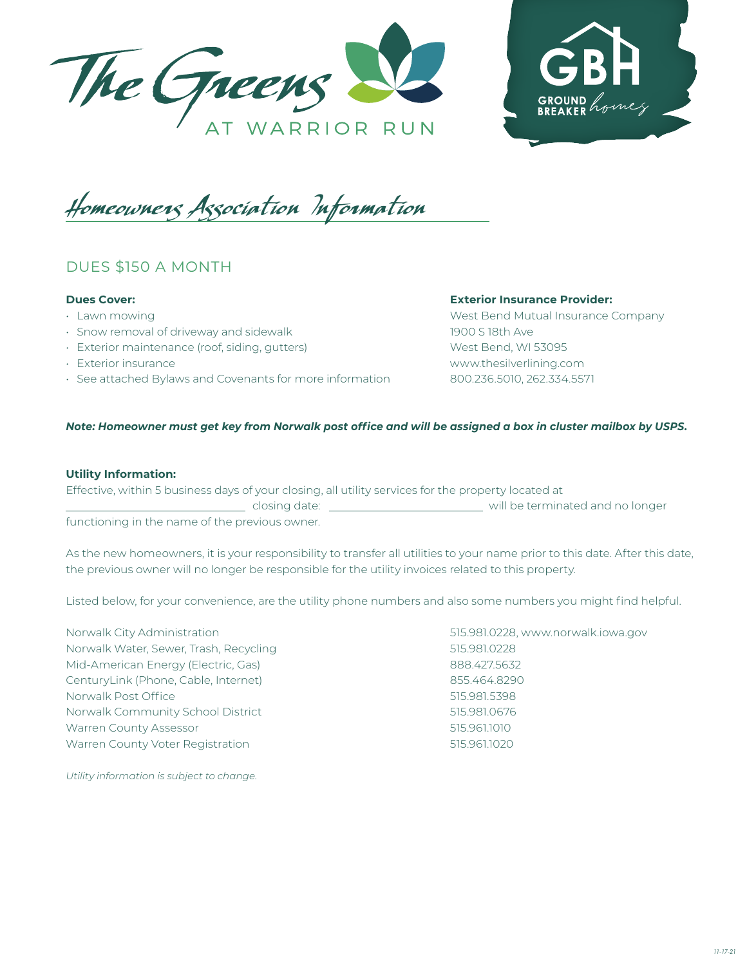



Homeowners Association Information

# DUES \$150 A MONTH

## **Dues Cover:**

- Lawn mowing
- Snow removal of driveway and sidewalk
- Exterior maintenance (roof, siding, gutters)
- Exterior insurance
- See attached Bylaws and Covenants for more information

#### **Exterior Insurance Provider:**

West Bend Mutual Insurance Company 1900 S 18th Ave West Bend, WI 53095 www.thesilverlining.com 800.236.5010, 262.334.5571

## *Note: Homeowner must get key from Norwalk post office and will be assigned a box in cluster mailbox by USPS.*

#### **Utility Information:**

| Effective, within 5 business days of your closing, all utility services for the property located at |                                  |
|-----------------------------------------------------------------------------------------------------|----------------------------------|
| closing date:                                                                                       | will be terminated and no longer |
| functioning in the name of the previous owner                                                       |                                  |

oning in the name of the previous owner.

As the new homeowners, it is your responsibility to transfer all utilities to your name prior to this date. After this date, the previous owner will no longer be responsible for the utility invoices related to this property.

Listed below, for your convenience, are the utility phone numbers and also some numbers you might find helpful.

Norwalk City Administration 515.981.0228, www.norwalk.iowa.gov Norwalk Water, Sewer, Trash, Recycling 61 100 100 100 101 1515.981.0228 Mid-American Energy (Electric, Gas) 888.427.5632 CenturyLink (Phone, Cable, Internet) 855.464.8290 Norwalk Post Office 515.981.5398 Norwalk Community School District 515.981.0676 Warren County Assessor **615.961.1010** Marrier 1990 1991 1992 1994 Warren County Voter Registration 515.961.1020

*Utility information is subject to change.*